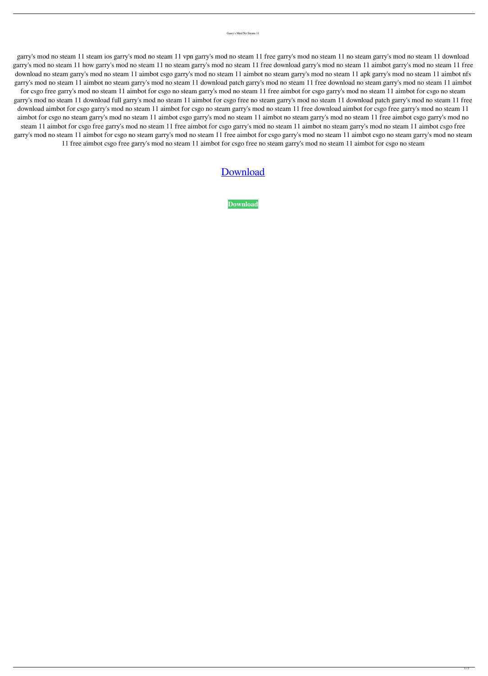Garry's Mod No Steam 11

garry's mod no steam 11 steam ios garry's mod no steam 11 vpn garry's mod no steam 11 free garry's mod no steam 11 no steam garry's mod no steam 11 download garry's mod no steam 11 how garry's mod no steam 11 no steam garry's mod no steam 10 aimbot garry's mod no steam 11 free download no steam garry's mod no steam 11 aimbot csgo garry's mod no steam garry arod no steam 11 apk garry's mod no steam 11 aimbot nfs garry's mod no steam 11 aimbot no steam garry's mod no steam 11 download patch garry's mod no steam 11 free download no steam garry's mod no steam 11 aimbot for csgo free garry's mod no steam 11 aimbot for csgo no steam garry's mod no steam 11 free aimbot for csgo garry's mod no steam 11 aimbot for csgo no steam garry's mod no steam 11 download full garry's mod no steam 11 aimbot for csgo free no steam garry's mod no steam 11 download patch garry's mod no steam 11 free download aimbot for csgo garry's mod no steam 11 aimbot for csgo no steam garry's mod no steam 11 free download aimbot for csgo free garry's mod no steam 11 aimbot for csgo no steam garry's mod no steam 11 aimbot csgo garry's mod no steam 11 aimbot no steam garry's mod no steam 11 free aimbot csgo garry's mod no steam 11 aimbot for csgo free garry's mod no steam 11 free aimbot for csgo garry's mod no steam 11 aimbot no steam garry's mod no steam 11 aimbot csgo free garry's mod no steam 11 aimbot for csgo no steam garry's mod no steam 11 free aimbot for csgo garry's mod no steam 11 aimbot csgo no steam garry's mod no steam 11 free aimbot csgo free garry's mod no steam 11 aimbot for csgo free no steam garry's mod no steam 11 aimbot for csgo no steam

## [Download](http://evacdir.com/delores?faqir=Z2FycnkncyBtb2Qgbm8gc3RlYW0gMTEZ2F.sycophant.buhler.gatherer.ZG93bmxvYWR8Mlc2TVc5eGNueDhNVFkxTWpjME1EZzJObng4TWpVM05IeDhLRTBwSUhKbFlXUXRZbXh2WnlCYlJtRnpkQ0JIUlU1ZA)

**[Download](http://evacdir.com/delores?faqir=Z2FycnkncyBtb2Qgbm8gc3RlYW0gMTEZ2F.sycophant.buhler.gatherer.ZG93bmxvYWR8Mlc2TVc5eGNueDhNVFkxTWpjME1EZzJObng4TWpVM05IeDhLRTBwSUhKbFlXUXRZbXh2WnlCYlJtRnpkQ0JIUlU1ZA)**